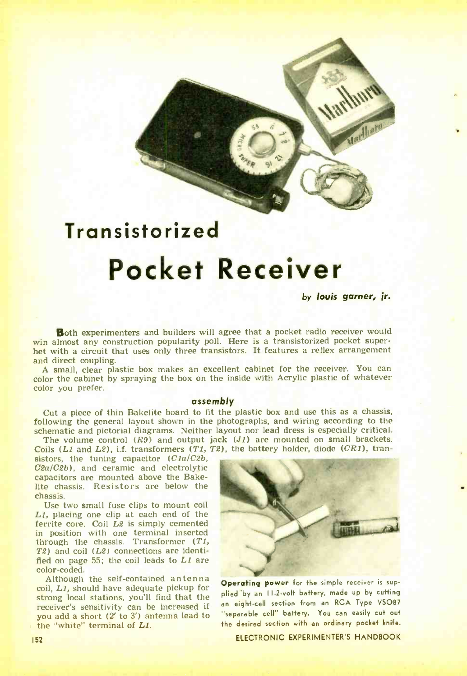## **Transistorized** Pocket Receiver

4 I T1 -rs

by louis garner, jr.

..

**Both experimenters and builders will agree that a pocket radio receiver would win almost any construction popularity poll. Here is a transistorized pocket super-<br>het with a circuit that uses only three transistors. It fea** 

A small, clear plastic box makes an excellent cabinet for the receiver. You can color the cabinet by spraying the box on the inside with Acrylic plastic of whatever color you prefer.

## assembly

Cut a piece of thin Bakelite board to fit the plastic box and use this as a chassis, following the general layout shown in the photographs, and wiring according to the

schematic and pictorial diagrams. Neither layout nor lead dress is especially critical.<br>The volume control  $(R9)$  and output jack  $(J1)$  are mounted on small brackets.<br>Coils  $(L1 \text{ and } L2)$ , i.f. transformers  $(T1, T2)$ , the bat

sistors, the tuning capacitor  $(C1a/C2b, C2a/C2b)$ , and ceramic and electrolytic capacitors are mounted above the Bakelite chassis. Resistors are below the chassis.<br>Use two small fuse clips to mount coil

 $L1$ , placing one clip at each end of the ferrite core. Coil  $L2$  is simply cemented in position with one terminal inserted through the chassis. Transformer  $(T_1)$ T2) and coil  $(L2)$  connections are identi-<br>fied on page 55; the coil leads to  $L1$  are color -coded.

Although the self-contained antenna coil, LI, should have adequate pickup for strong local stations, you'll find that the receiver's sensitivity can be increased if you add a short (2' to 3') antenna lead to the "white" terminal of LI.



Operating power for the simple receiver is supplied by an II.2-volt battery, made up by cutting an eight-cell section from an RCA Type VSO87 "separable cell" battery. You can easily cut out the desired section with an ordinary pocket knife.

ELECTRONIC EXPERIMENTER'S HANDBOOK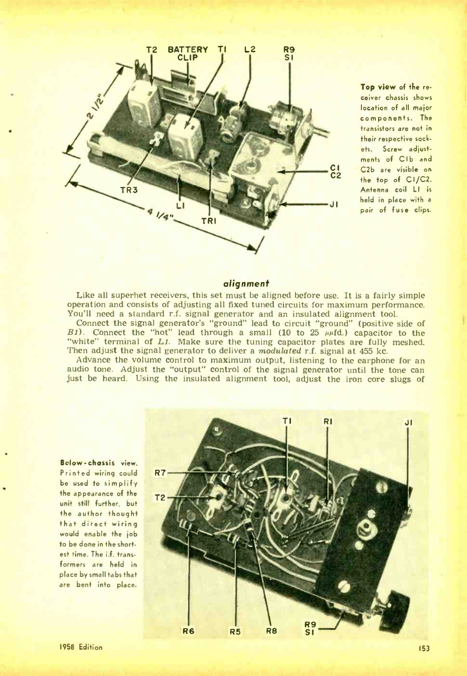

Top view of the receiver chassis shows location of all major components. The transistors are not in their respective sockets. Screw adjustments of CIb and C2b are visible on the top of CI/C2. Antenna coil LI is<br>held in place with a pair of fuse clips.

## alignment

Like all superhet receivers, this set must be aligned before use. It is a fairly simple operation and consists of adjusting all fixed tuned circuits for maximum performance. operation and consists of adjusting all fixed tuned circuits for maximum performance.<br>You'll need a standard r.f. signal generator and an insulated alignment tool.<br>Connect the signal generator's "ground" lead to circuit "g

B1). Connect the "hot" lead through a small (10 to 25  $\mu$  $\mu$ fd.) capacitor to the "white" terminal of L1. Make sure the tuning capacitor plates are fully meshed.<br>Then adjust the signal generator to deliver a *modulated* r.f. signal at 455 kc.

Advance the volume control to maximum output, listening to the earphone for an audio tone. Adjust the "output" control of the signal generator until the tone can just be heard. Using the insulated alignment tool, adjust the iron core slugs of

Below -chassis view. Printed wiring could R7 be used fo simplify the appearance of the unit still further, but the author thought that direct wiring would enable the job fo be done in the shortest time. The i.f. transformers are held in place by small tabs that are bent into place.

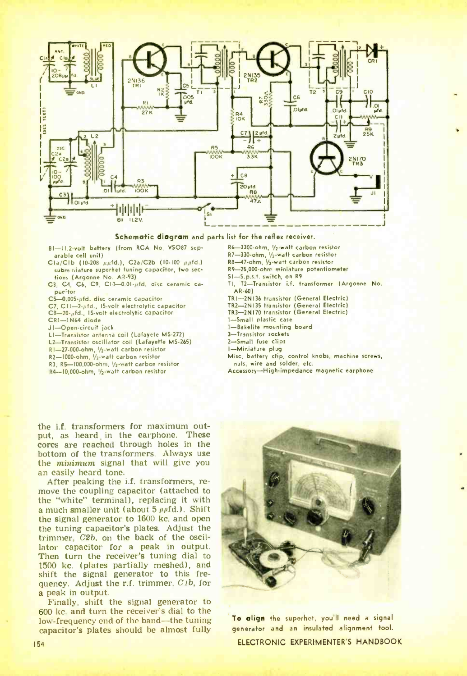

Schematic diagram and parts list for the reflex receiver.

- BI-II.2-volt battery (from RCA No. VSO87 separable cell unit)
- $Cla/Clb$  (10-208  $\mu\mu$ fd.), C2a/C2b (10-100  $\mu\mu$ fd.) subm triature superhet tuning capacitor, two sections (Argonne No. AR-93)
- C3. C4. C6, C9, C10-0.01+ufd. disc ceramic capacitor

C5-0.005+ufd. disc ceramic capacitor

- C7, C11-2-ufd., 15-volt electrolytic capacitor
- C8-20-µfd., 15-volt electrolytic capacitor
- CRI-IN64 diode
- J1-Open-circuit jack
- LI-Transistor antenna coil (Lafayete MS-272)
- L2-Transistor oscillator coil (Lafayette MS-265)
- RI-27-000-ohm, 1/2-watt carbon resistor
- R2-1000-ohm. V<sub>2</sub>-watt carbon resistor
- R3, R5-100,000-ohm, 1/2-watt carbon resistor
- R4-10,000-ohm, 1/2-watt carbon resistor
- R6-3300-ohm, 1/2-watt carbon resistor
- R7-330-ohm, 1/2-watt carbon resistor
- R8-47-ohm, 1/2-watt carbon resistor
- R9-25,000-ohm miniature potentiometer
- SI-S.p.s.t. switch, on R9
- TI, T2-Transistor i.f. transformer (Argonne No. AR-60)
- TRI-2N136 transistor (General Electric)
- TR2-2N135 transistor (General Electric)<br>TR3-2N170 transistor (General Electric)
- 
- 1-Small plastic case
- 1-Bakelite mounting board 3-Transistor sockets
- 2-Small fuse clips
- I-Miniature plug
- Misc, battery clip, control knobs, machine screws, nuts, wire and solder, etc.

Accessory-High-impedance magnetic earphone

the i.f. transformers for maximum output, as heard in the earphone. These cores are reached through holes in the bottom of the transformers. Always use the *minimum* signal that will give you an easily heard tone.

After peaking the i.f. transformers, remove the coupling capacitor (attached to the "white" terminal), replacing it with a much smaller unit (about  $5 \mu \mu fd$ .). Shift the signal generator to 1600 kc. and open the tuning capacitor's plates. Adjust the trimmer, C2b, on the back of the oscillator capacitor for a peak in output. Then turn the receiver's tuning dial to 1500 kc. (plates partially meshed), and shift the signal generator to this frequency. Adjust the r.f. trimmer, C1b, for a peak in output.

Finally, shift the signal generator to 600 kc. and turn the receiver's dial to the low-frequency end of the band-the tuning capacitor's plates should be almost fully



To align the superhet, you'll need a signal generator and an insulated alignment tool. ELECTRONIC EXPERIMENTER'S HANDBOOK